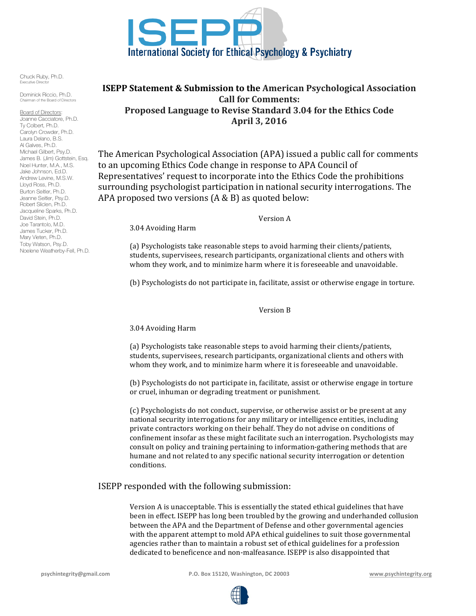

Chuck Ruby, Ph.D. .<br>Executive Director

Dominick Riccio, Ph.D. an of the Board of Directors

Board of Directors: Joanne Cacciatore, Ph.D. Ty Colbert, Ph.D. Carolyn Crowder, Ph.D. Laura Delano, B.S. Al Galves, Ph.D. Michael Gilbert, Psy.D. James B. (Jim) Gottstein, Esq. Noel Hunter, M.A., M.S. Jake Johnson, Ed.D. Andrew Levine, M.S.W. Lloyd Ross, Ph.D. Burton Seitler, Ph.D. Jeanne Seitler, Psy.D. Robert Sliclen, Ph.D. Jacqueline Sparks, Ph.D. David Stein, Ph.D. Joe Tarantolo, M.D. James Tucker, Ph.D. Mary Vieten, Ph.D. Toby Watson, Psy.D. Noelene Weatherby-Fell, Ph.D.

# **ISEPP Statement & Submission to the American Psychological Association Call for Comments: Proposed Language to Revise Standard 3.04 for the Ethics Code April 3, 2016**

The American Psychological Association (APA) issued a public call for comments to an upcoming Ethics Code change in response to APA Council of Representatives' request to incorporate into the Ethics Code the prohibitions surrounding psychologist participation in national security interrogations. The APA proposed two versions  $(A & B)$  as quoted below:

3.04 Avoiding Harm

Version A

(a) Psychologists take reasonable steps to avoid harming their clients/patients, students, supervisees, research participants, organizational clients and others with whom they work, and to minimize harm where it is foreseeable and unavoidable.

(b) Psychologists do not participate in, facilitate, assist or otherwise engage in torture.

## Version B

## 3.04 Avoiding Harm

(a) Psychologists take reasonable steps to avoid harming their clients/patients, students, supervisees, research participants, organizational clients and others with whom they work, and to minimize harm where it is foreseeable and unavoidable.

(b) Psychologists do not participate in, facilitate, assist or otherwise engage in torture or cruel, inhuman or degrading treatment or punishment.

(c) Psychologists do not conduct, supervise, or otherwise assist or be present at any national security interrogations for any military or intelligence entities, including private contractors working on their behalf. They do not advise on conditions of confinement insofar as these might facilitate such an interrogation. Psychologists may consult on policy and training pertaining to information-gathering methods that are humane and not related to any specific national security interrogation or detention conditions. 

## ISEPP responded with the following submission:

Version A is unacceptable. This is essentially the stated ethical guidelines that have been in effect. ISEPP has long been troubled by the growing and underhanded collusion between the APA and the Department of Defense and other governmental agencies with the apparent attempt to mold APA ethical guidelines to suit those governmental agencies rather than to maintain a robust set of ethical guidelines for a profession dedicated to beneficence and non-malfeasance. ISEPP is also disappointed that

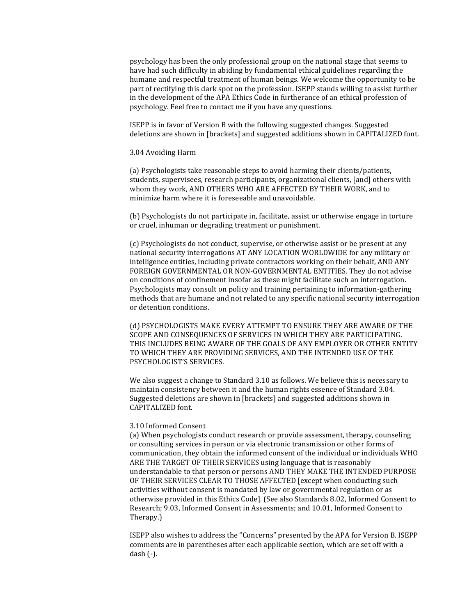psychology has been the only professional group on the national stage that seems to have had such difficulty in abiding by fundamental ethical guidelines regarding the humane and respectful treatment of human beings. We welcome the opportunity to be part of rectifying this dark spot on the profession. ISEPP stands willing to assist further in the development of the APA Ethics Code in furtherance of an ethical profession of psychology. Feel free to contact me if you have any questions.

ISEPP is in favor of Version B with the following suggested changes. Suggested deletions are shown in [brackets] and suggested additions shown in CAPITALIZED font.

### 3.04 Avoiding Harm

(a) Psychologists take reasonable steps to avoid harming their clients/patients, students, supervisees, research participants, organizational clients, [and] others with whom they work, AND OTHERS WHO ARE AFFECTED BY THEIR WORK, and to minimize harm where it is foreseeable and unavoidable.

(b) Psychologists do not participate in, facilitate, assist or otherwise engage in torture or cruel, inhuman or degrading treatment or punishment.

(c) Psychologists do not conduct, supervise, or otherwise assist or be present at any national security interrogations AT ANY LOCATION WORLDWIDE for any military or intelligence entities, including private contractors working on their behalf, AND ANY FOREIGN GOVERNMENTAL OR NON-GOVERNMENTAL ENTITIES. They do not advise on conditions of confinement insofar as these might facilitate such an interrogation. Psychologists may consult on policy and training pertaining to information-gathering methods that are humane and not related to any specific national security interrogation or detention conditions.

(d) PSYCHOLOGISTS MAKE EVERY ATTEMPT TO ENSURE THEY ARE AWARE OF THE SCOPE AND CONSEQUENCES OF SERVICES IN WHICH THEY ARE PARTICIPATING. THIS INCLUDES BEING AWARE OF THE GOALS OF ANY EMPLOYER OR OTHER ENTITY TO WHICH THEY ARE PROVIDING SERVICES, AND THE INTENDED USE OF THE PSYCHOLOGIST'S SERVICES.

We also suggest a change to Standard 3.10 as follows. We believe this is necessary to maintain consistency between it and the human rights essence of Standard 3.04. Suggested deletions are shown in [brackets] and suggested additions shown in CAPITALIZED font.

### 3.10 Informed Consent

(a) When psychologists conduct research or provide assessment, therapy, counseling or consulting services in person or via electronic transmission or other forms of communication, they obtain the informed consent of the individual or individuals WHO ARE THE TARGET OF THEIR SERVICES using language that is reasonably understandable to that person or persons AND THEY MAKE THE INTENDED PURPOSE OF THEIR SERVICES CLEAR TO THOSE AFFECTED [except when conducting such activities without consent is mandated by law or governmental regulation or as otherwise provided in this Ethics Code]. (See also Standards 8.02, Informed Consent to Research; 9.03, Informed Consent in Assessments; and 10.01, Informed Consent to Therapy.)

ISEPP also wishes to address the "Concerns" presented by the APA for Version B. ISEPP comments are in parentheses after each applicable section, which are set off with a  $dash($ - $).$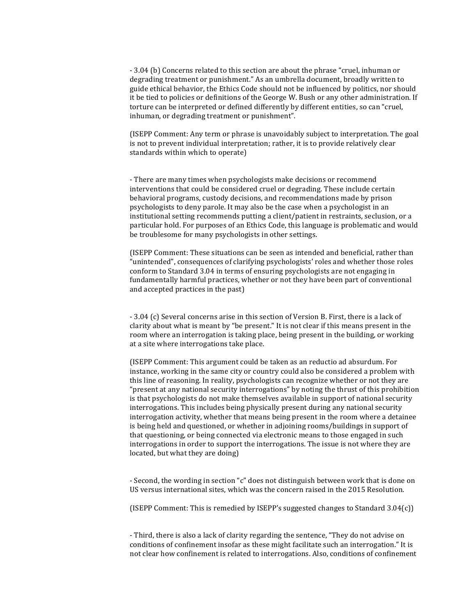- 3.04 (b) Concerns related to this section are about the phrase "cruel, inhuman or degrading treatment or punishment." As an umbrella document, broadly written to guide ethical behavior, the Ethics Code should not be influenced by politics, nor should it be tied to policies or definitions of the George W. Bush or any other administration. If torture can be interpreted or defined differently by different entities, so can "cruel, inhuman, or degrading treatment or punishment".

(ISEPP Comment: Any term or phrase is unavoidably subject to interpretation. The goal is not to prevent individual interpretation; rather, it is to provide relatively clear standards within which to operate)

- There are many times when psychologists make decisions or recommend interventions that could be considered cruel or degrading. These include certain behavioral programs, custody decisions, and recommendations made by prison psychologists to deny parole. It may also be the case when a psychologist in an institutional setting recommends putting a client/patient in restraints, seclusion, or a particular hold. For purposes of an Ethics Code, this language is problematic and would be troublesome for many psychologists in other settings.

(ISEPP Comment: These situations can be seen as intended and beneficial, rather than "unintended", consequences of clarifying psychologists' roles and whether those roles conform to Standard 3.04 in terms of ensuring psychologists are not engaging in fundamentally harmful practices, whether or not they have been part of conventional and accepted practices in the past)

- 3.04 (c) Several concerns arise in this section of Version B. First, there is a lack of clarity about what is meant by "be present." It is not clear if this means present in the room where an interrogation is taking place, being present in the building, or working at a site where interrogations take place.

(ISEPP Comment: This argument could be taken as an reductio ad absurdum. For instance, working in the same city or country could also be considered a problem with this line of reasoning. In reality, psychologists can recognize whether or not they are "present at any national security interrogations" by noting the thrust of this prohibition is that psychologists do not make themselves available in support of national security interrogations. This includes being physically present during any national security interrogation activity, whether that means being present in the room where a detainee is being held and questioned, or whether in adjoining rooms/buildings in support of that questioning, or being connected via electronic means to those engaged in such interrogations in order to support the interrogations. The issue is not where they are located, but what they are doing)

- Second, the wording in section "c" does not distinguish between work that is done on US versus international sites, which was the concern raised in the 2015 Resolution.

(ISEPP Comment: This is remedied by ISEPP's suggested changes to Standard  $3.04(c)$ )

- Third, there is also a lack of clarity regarding the sentence, "They do not advise on conditions of confinement insofar as these might facilitate such an interrogation." It is not clear how confinement is related to interrogations. Also, conditions of confinement